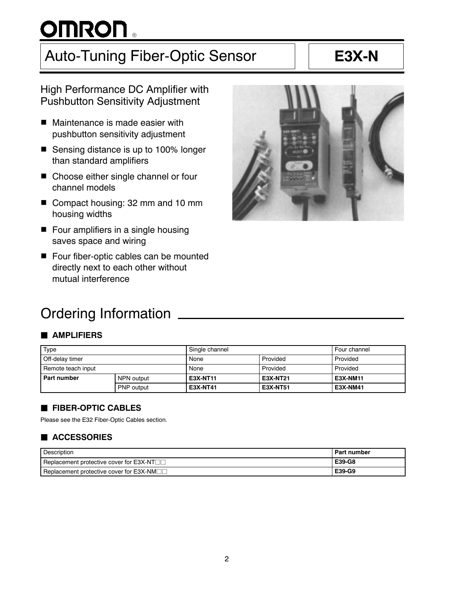# OMRON .

## Auto-Tuning Fiber-Optic Sensor | | **E3X-N**

## High Performance DC Amplifier with Pushbutton Sensitivity Adjustment

- Maintenance is made easier with pushbutton sensitivity adjustment
- Sensing distance is up to 100% longer than standard amplifiers
- Choose either single channel or four channel models
- Compact housing: 32 mm and 10 mm housing widths
- **F** Four amplifiers in a single housing saves space and wiring
- Four fiber-optic cables can be mounted directly next to each other without mutual interference

## Ordering Information

## **B** AMPLIFIERS

| Type               |                   | Single channel  |          | Four channel    |
|--------------------|-------------------|-----------------|----------|-----------------|
| Off-delay timer    |                   | None            | Provided | Provided        |
| Remote teach input |                   | None            | Provided | Provided        |
| l Part number      | NPN output        | E3X-NT11        | E3X-NT21 | <b>E3X-NM11</b> |
|                    | <b>PNP</b> output | <b>E3X-NT41</b> | E3X-NT51 | <b>E3X-NM41</b> |

## **FIBER-OPTIC CABLES**

Please see the E32 Fiber-Optic Cables section.

## $\blacksquare$  **ACCESSORIES**

| Description                             | <b>Part number</b> |
|-----------------------------------------|--------------------|
| Replacement protective cover for E3X-NT | E39-G8             |
| Replacement protective cover for E3X-NM | E39-G9             |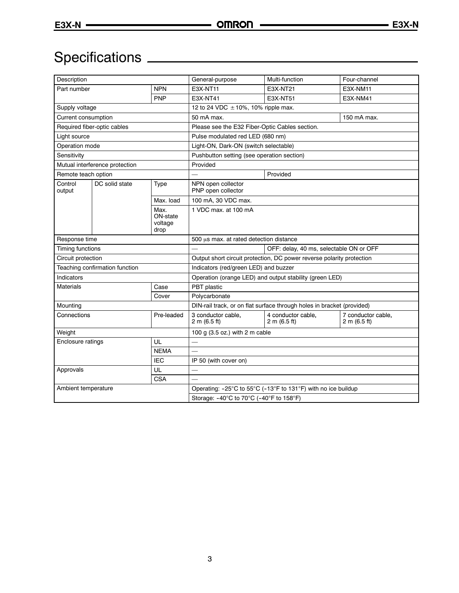## Specifications

| Description                 |                                |                                                               | General-purpose                                                        | Multi-function                     | Four-channel                       |  |  |
|-----------------------------|--------------------------------|---------------------------------------------------------------|------------------------------------------------------------------------|------------------------------------|------------------------------------|--|--|
| Part number                 |                                | <b>NPN</b>                                                    | <b>E3X-NT11</b>                                                        | E3X-NT21                           | E3X-NM11                           |  |  |
|                             |                                | <b>PNP</b>                                                    | E3X-NT41                                                               | E3X-NT51                           | E3X-NM41                           |  |  |
| Supply voltage              |                                |                                                               | 12 to 24 VDC ± 10%, 10% ripple max.                                    |                                    |                                    |  |  |
| Current consumption         |                                |                                                               | 50 mA max.<br>150 mA max.                                              |                                    |                                    |  |  |
| Required fiber-optic cables |                                | Please see the E32 Fiber-Optic Cables section.                |                                                                        |                                    |                                    |  |  |
| Light source                |                                | Pulse modulated red LED (680 nm)                              |                                                                        |                                    |                                    |  |  |
| Operation mode              |                                |                                                               | Light-ON, Dark-ON (switch selectable)                                  |                                    |                                    |  |  |
| Sensitivity                 |                                |                                                               | Pushbutton setting (see operation section)                             |                                    |                                    |  |  |
|                             | Mutual interference protection |                                                               | Provided                                                               |                                    |                                    |  |  |
| Remote teach option         |                                |                                                               |                                                                        | Provided                           |                                    |  |  |
| Control<br>output           | DC solid state                 | Type                                                          | NPN open collector<br>PNP open collector                               |                                    |                                    |  |  |
|                             |                                | Max. load                                                     | 100 mA, 30 VDC max.                                                    |                                    |                                    |  |  |
|                             |                                | Max.<br>ON-state<br>voltage<br>drop                           | 1 VDC max. at 100 mA                                                   |                                    |                                    |  |  |
| Response time               |                                | 500 µs max. at rated detection distance                       |                                                                        |                                    |                                    |  |  |
| Timing functions            |                                |                                                               | OFF: delay, 40 ms, selectable ON or OFF                                |                                    |                                    |  |  |
| Circuit protection          |                                |                                                               | Output short circuit protection, DC power reverse polarity protection  |                                    |                                    |  |  |
|                             | Teaching confirmation function |                                                               | Indicators (red/green LED) and buzzer                                  |                                    |                                    |  |  |
| Indicators                  |                                |                                                               | Operation (orange LED) and output stability (green LED)                |                                    |                                    |  |  |
| <b>Materials</b>            |                                | Case                                                          | PBT plastic                                                            |                                    |                                    |  |  |
|                             |                                | Cover                                                         | Polycarbonate                                                          |                                    |                                    |  |  |
| Mounting                    |                                |                                                               | DIN-rail track, or on flat surface through holes in bracket (provided) |                                    |                                    |  |  |
| Connections                 |                                | Pre-leaded                                                    | 3 conductor cable.<br>2 m (6.5 ft)                                     | 4 conductor cable,<br>2 m (6.5 ft) | 7 conductor cable,<br>2 m (6.5 ft) |  |  |
| Weight                      |                                |                                                               | 100 g (3.5 oz.) with 2 m cable                                         |                                    |                                    |  |  |
| Enclosure ratings           |                                | UL                                                            |                                                                        |                                    |                                    |  |  |
|                             |                                | <b>NEMA</b>                                                   |                                                                        |                                    |                                    |  |  |
| <b>IEC</b>                  |                                | IP 50 (with cover on)                                         |                                                                        |                                    |                                    |  |  |
| Approvals<br>UL             |                                |                                                               |                                                                        |                                    |                                    |  |  |
|                             |                                | <b>CSA</b>                                                    |                                                                        |                                    |                                    |  |  |
| Ambient temperature         |                                | Operating: -25°C to 55°C (-13°F to 131°F) with no ice buildup |                                                                        |                                    |                                    |  |  |
|                             |                                | Storage: -40°C to 70°C (-40°F to 158°F)                       |                                                                        |                                    |                                    |  |  |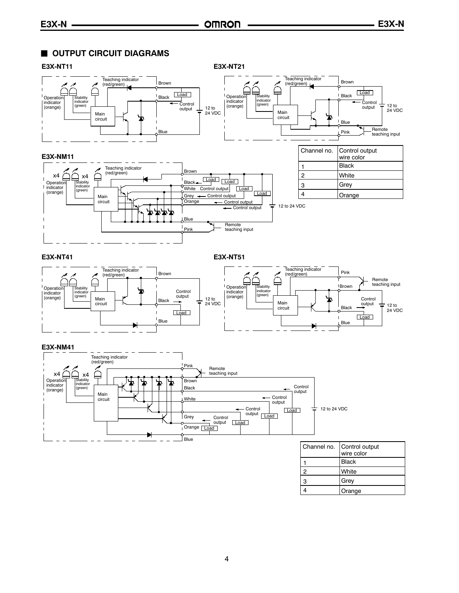## **U** OUTPUT CIRCUIT DIAGRAMS



4

**Orange**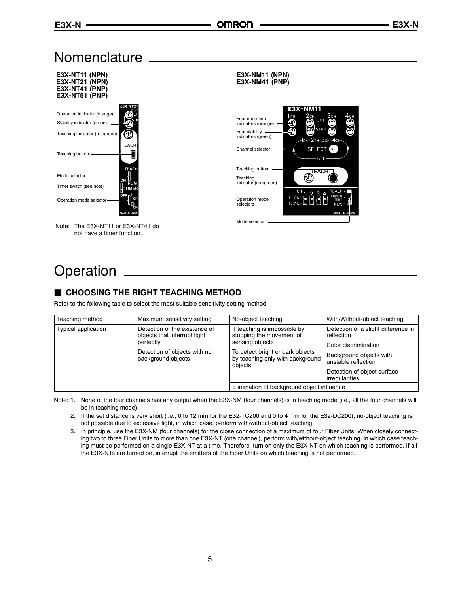ΔL

## **Nomenclature**



## **Operation**

## **GHOOSING THE RIGHT TEACHING METHOD**

Refer to the following table to select the most suitable sensitivity setting method.

| Teaching method            | Maximum sensitivity setting                                   | No-object teaching                                                              | With/Without-object teaching                      |  |
|----------------------------|---------------------------------------------------------------|---------------------------------------------------------------------------------|---------------------------------------------------|--|
| <b>Typical application</b> | Detection of the existence of<br>objects that interrupt light | If teaching is impossible by<br>stopping the movement of                        | Detection of a slight difference in<br>reflection |  |
|                            | perfectly                                                     | sensing objects                                                                 | Color discrimination                              |  |
|                            | Detection of objects with no<br>background objects            | To detect bright or dark objects<br>by teaching only with background<br>obiects | Background objects with<br>unstable reflection    |  |
|                            |                                                               |                                                                                 | Detection of object surface<br>irregularities     |  |
|                            |                                                               | Elimination of background object influence                                      |                                                   |  |

Note: 1. None of the four channels has any output when the E3X-NM (four channels) is in teaching mode (i.e., all the four channels will be in teaching mode).

2. If the set distance is very short (i.e., 0 to 12 mm for the E32-TC200 and 0 to 4 mm for the E32-DC200), no-object teaching is not possible due to excessive light, in which case, perform with/without-object teaching.

3. In principle, use the E3X-NM (four channels) for the close connection of a maximum of four Fiber Units. When closely connecting two to three Fiber Units to more than one E3X-NT (one channel), perform with/without-object teaching, in which case teaching must be performed on a single E3X-NT at a time. Therefore, turn on only the E3X-NT on which teaching is performed. If all the E3X-NTs are turned on, interrupt the emitters of the Fiber Units on which teaching is not performed.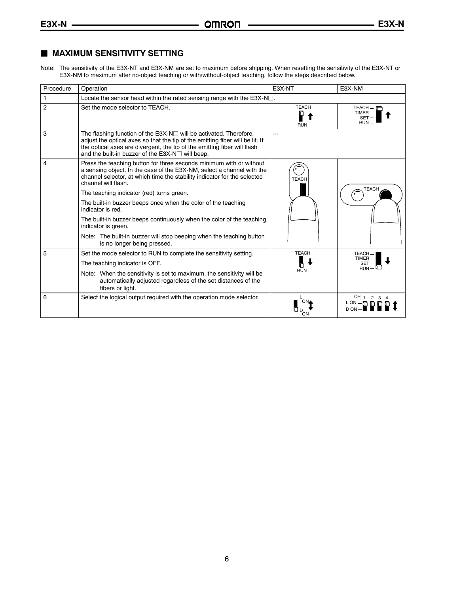## **MAXIMUM SENSITIVITY SETTING**

Note: The sensitivity of the E3X-NT and E3X-NM are set to maximum before shipping. When resetting the sensitivity of the E3X-NT or E3X-NM to maximum after no-object teaching or with/without-object teaching, follow the steps described below.

| Procedure | Operation                                                                                                                                                                                                                                                                                   | E3X-NT                     | E3X-NM                                                  |  |  |
|-----------|---------------------------------------------------------------------------------------------------------------------------------------------------------------------------------------------------------------------------------------------------------------------------------------------|----------------------------|---------------------------------------------------------|--|--|
|           | Locate the sensor head within the rated sensing range with the $E3X-N$ .                                                                                                                                                                                                                    |                            |                                                         |  |  |
| 2         | Set the mode selector to TEACH.                                                                                                                                                                                                                                                             | <b>TEACH</b><br><b>RUN</b> | $TEACH - F$<br><b>TIMER</b><br><b>SET</b><br><b>RUN</b> |  |  |
| 3         | The flashing function of the $E3X-N \square$ will be activated. Therefore,<br>adjust the optical axes so that the tip of the emitting fiber will be lit. If<br>the optical axes are divergent, the tip of the emitting fiber will flash<br>and the built-in buzzer of the E3X-N□ will beep. |                            |                                                         |  |  |
| 4         | Press the teaching button for three seconds minimum with or without<br>a sensing object. In the case of the E3X-NM, select a channel with the<br>channel selector, at which time the stability indicator for the selected<br>channel will flash.                                            | <b>TEACH</b>               |                                                         |  |  |
|           | The teaching indicator (red) turns green.                                                                                                                                                                                                                                                   |                            | <b>TEACH</b>                                            |  |  |
|           | The built-in buzzer beeps once when the color of the teaching<br>indicator is red.                                                                                                                                                                                                          |                            |                                                         |  |  |
|           | The built-in buzzer beeps continuously when the color of the teaching<br>indicator is green.                                                                                                                                                                                                |                            |                                                         |  |  |
|           | Note: The built-in buzzer will stop beeping when the teaching button<br>is no longer being pressed.                                                                                                                                                                                         |                            |                                                         |  |  |
| 5         | Set the mode selector to RUN to complete the sensitivity setting.                                                                                                                                                                                                                           | <b>TEACH</b>               | TEACH-<br>TIMER                                         |  |  |
|           | The teaching indicator is OFF.                                                                                                                                                                                                                                                              |                            | <b>SET</b><br>$RUN -$                                   |  |  |
|           | Note: When the sensitivity is set to maximum, the sensitivity will be<br>automatically adjusted regardless of the set distances of the<br>fibers or light.                                                                                                                                  | <b>RUN</b>                 |                                                         |  |  |
| 6         | Select the logical output required with the operation mode selector.                                                                                                                                                                                                                        | ON                         | CH <sub>1</sub> 2 3 4<br>LON-FIFI                       |  |  |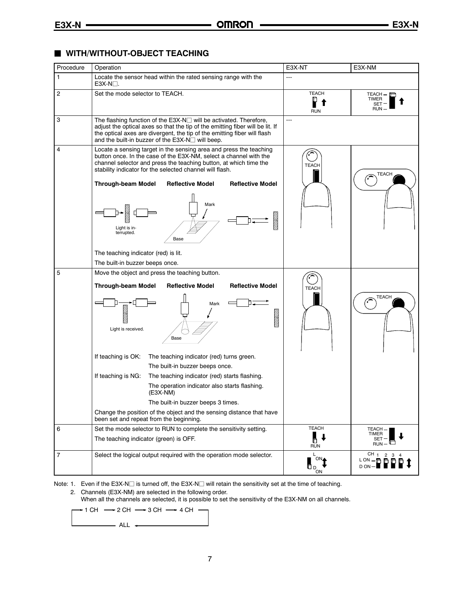## $\blacksquare$  **WITH/WITHOUT-OBJECT TEACHING**

| Procedure      | Operation                                                                                                                                                                                                                                                                                                                                                                                       | E3X-NT                                     | E3X-NM                                                       |
|----------------|-------------------------------------------------------------------------------------------------------------------------------------------------------------------------------------------------------------------------------------------------------------------------------------------------------------------------------------------------------------------------------------------------|--------------------------------------------|--------------------------------------------------------------|
| 1              | Locate the sensor head within the rated sensing range with the<br>$E3X-N1$                                                                                                                                                                                                                                                                                                                      | $---$                                      |                                                              |
| $\overline{c}$ | Set the mode selector to TEACH.                                                                                                                                                                                                                                                                                                                                                                 | <b>TEACH</b><br>P<br><b>RUN</b>            | TEACH-[<br>TIMER<br>SET<br><b>RUN</b>                        |
| 3              | The flashing function of the $E3X-N\Box$ will be activated. Therefore,<br>adjust the optical axes so that the tip of the emitting fiber will be lit. If<br>the optical axes are divergent, the tip of the emitting fiber will flash<br>and the built-in buzzer of the $E3X-N\Box$ will beep.                                                                                                    | $---$                                      |                                                              |
| 4              | Locate a sensing target in the sensing area and press the teaching<br>button once. In the case of the E3X-NM, select a channel with the<br>channel selector and press the teaching button, at which time the<br>stability indicator for the selected channel will flash.                                                                                                                        | <b>TEACH</b>                               | <b>TEACH</b>                                                 |
|                | <b>Through-beam Model</b><br><b>Reflective Model</b><br><b>Reflective Model</b>                                                                                                                                                                                                                                                                                                                 |                                            |                                                              |
|                | Mark<br><u>man</u><br>Light is in-<br>terrupted.<br>Base                                                                                                                                                                                                                                                                                                                                        |                                            |                                                              |
|                | The teaching indicator (red) is lit.                                                                                                                                                                                                                                                                                                                                                            |                                            |                                                              |
|                | The built-in buzzer beeps once.                                                                                                                                                                                                                                                                                                                                                                 |                                            |                                                              |
| 5              | Move the object and press the teaching button.<br><b>Through-beam Model</b><br><b>Reflective Model</b><br><b>Reflective Model</b><br>Mark<br><u>maan</u><br>Light is received.<br>Base                                                                                                                                                                                                          | <b>TEACH</b>                               | <b>TEACH</b>                                                 |
|                | If teaching is OK:<br>The teaching indicator (red) turns green.<br>The built-in buzzer beeps once.<br>If teaching is NG:<br>The teaching indicator (red) starts flashing.<br>The operation indicator also starts flashing.<br>(E3X-NM)<br>The built-in buzzer beeps 3 times.<br>Change the position of the object and the sensing distance that have<br>been set and repeat from the beginning. |                                            |                                                              |
| 6              | Set the mode selector to RUN to complete the sensitivity setting.                                                                                                                                                                                                                                                                                                                               | <b>TEACH</b>                               | TEACH                                                        |
|                | The teaching indicator (green) is OFF.                                                                                                                                                                                                                                                                                                                                                          | Ь<br><b>RUN</b>                            | <b>TIMER</b><br>SET<br>$RUN -$                               |
| $\overline{7}$ | Select the logical output required with the operation mode selector.                                                                                                                                                                                                                                                                                                                            | L<br>ON<br>$\mathbf{D}_{\mathrm{D}}$<br>ON | CH <sub>1</sub><br>$\overline{2}$<br>3<br>LON-BB<br>$D ON -$ |
|                |                                                                                                                                                                                                                                                                                                                                                                                                 |                                            |                                                              |

Note: 1. Even if the E3X-N $\square$  is turned off, the E3X-N $\square$  will retain the sensitivity set at the time of teaching. 2. Channels (E3X-NM) are selected in the following order.

When all the channels are selected, it is possible to set the sensitivity of the E3X-NM on all channels.

$$
\rightarrow 1 \text{ CH} \longrightarrow 2 \text{ CH} \longrightarrow 3 \text{ CH} \longrightarrow 4 \text{ CH}
$$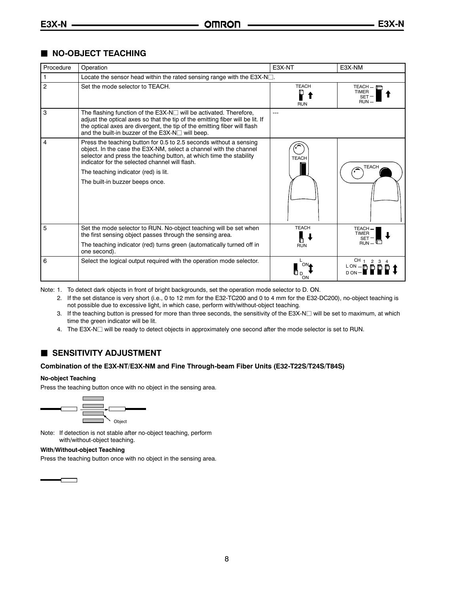### **NO-OBJECT TEACHING**

| Procedure      | Operation                                                                                                                                                                                                                                                                                                                                   | E3X-NT                     | E3X-NM                                                  |  |  |
|----------------|---------------------------------------------------------------------------------------------------------------------------------------------------------------------------------------------------------------------------------------------------------------------------------------------------------------------------------------------|----------------------------|---------------------------------------------------------|--|--|
|                | Locate the sensor head within the rated sensing range with the $E3X-N$ .                                                                                                                                                                                                                                                                    |                            |                                                         |  |  |
| $\overline{2}$ | Set the mode selector to TEACH.                                                                                                                                                                                                                                                                                                             | <b>TEACH</b><br><b>RUN</b> | $TEACH - F$<br><b>TIMER</b><br><b>SET</b><br><b>RUN</b> |  |  |
| 3              | The flashing function of the $E3X-N \square$ will be activated. Therefore,<br>adjust the optical axes so that the tip of the emitting fiber will be lit. If<br>the optical axes are divergent, the tip of the emitting fiber will flash<br>and the built-in buzzer of the E3X-N□ will beep.                                                 | $---$                      |                                                         |  |  |
| 4              | Press the teaching button for 0.5 to 2.5 seconds without a sensing<br>object. In the case the E3X-NM, select a channel with the channel<br>selector and press the teaching button, at which time the stability<br>indicator for the selected channel will flash.<br>The teaching indicator (red) is lit.<br>The built-in buzzer beeps once. | <b>TEACH</b>               | <b>TEACH</b>                                            |  |  |
| 5              | Set the mode selector to RUN. No-object teaching will be set when<br>the first sensing object passes through the sensing area.<br>The teaching indicator (red) turns green (automatically turned off in<br>one second).                                                                                                                     | <b>TEACH</b><br><b>RUN</b> | TEACH-<br><b>TIMER</b><br>SET<br>RUN-                   |  |  |
| 6              | Select the logical output required with the operation mode selector.                                                                                                                                                                                                                                                                        | ΩN                         | CH 1 2 3 4<br>$L ON - 0$<br>D ON                        |  |  |

Note: 1. To detect dark objects in front of bright backgrounds, set the operation mode selector to D. ON.

2. If the set distance is very short (i.e., 0 to 12 mm for the E32-TC200 and 0 to 4 mm for the E32-DC200), no-object teaching is not possible due to excessive light, in which case, perform with/without-object teaching.

- 3. If the teaching button is pressed for more than three seconds, the sensitivity of the E3X-N $\square$  will be set to maximum, at which time the green indicator will be lit.
- 4. The E3X-N $\Box$  will be ready to detect objects in approximately one second after the mode selector is set to RUN.

### **SENSITIVITY ADJUSTMENT**

#### **Combination of the E3X-NT/E3X-NM and Fine Through-beam Fiber Units (E32-T22S/T24S/T84S)**

#### **No-object Teaching**

Press the teaching button once with no object in the sensing area.



Note: If detection is not stable after no-object teaching, perform with/without-object teaching.

#### **With/Without-object Teaching**

 $\blacksquare$ 

Press the teaching button once with no object in the sensing area.

8